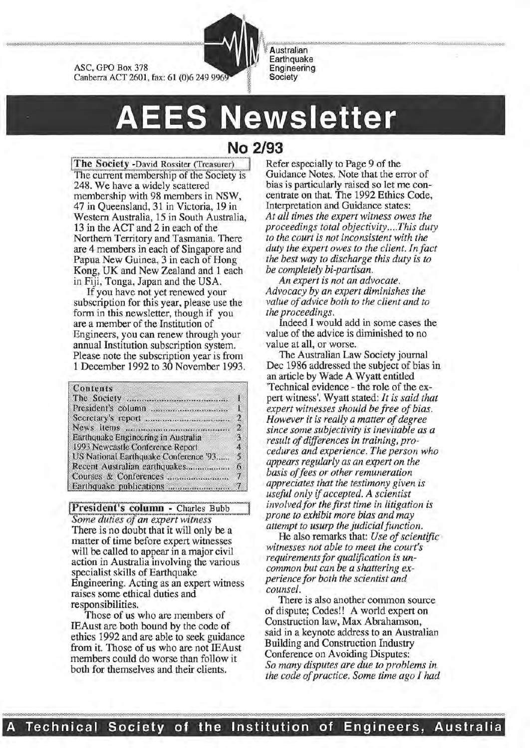

~~"\*-'1<<<'~--""'''W>w. :OW.-"/,0~<-:<-»:>:-<:o>:·O<«<-<:<=.W"-'«.,. •;.;.;.;.;.;.;.;.;.;.:-:·:•:<•:•:•:•:•:•:•:•:•:•:•:•:•:·:•:·:•:•:•:•:•:·:•:•:•:-:-:•:·:·.:•:•:•:•:•:•:•:•:•:•:· **Australian Earthquake** Engineering **Society** 

# **AEES Newsletter**

**The Society -David Rossiter (Treasurer)** The current membership of the Society is 248. We have a widely scattered membership with 98 members in NSW, 47 in Queensland, 31 in Victoria, 19 in Western Australia, 15 in South Australia, 13 in the ACf and 2 in each of the Northern Territory and Tasmania. There are 4 members in each of Singapore and Papua New Guinea, 3 in each of Hong Kong, UK and New Zealand and 1 each in Fiji, Tonga, Japan and the USA.

If you have not yet renewed your subscription for this year, please use the form in this newsletter, though if you are a member of the Institution of Engineers, you can renew through your annual Institution subscription system. Please note the subscription year is from 1 December 1992 to 30 November 1993.

#### Contents

::::

ASC, GPO Box 378

|                                       | 1              |
|---------------------------------------|----------------|
|                                       | $\overline{2}$ |
|                                       | $\overline{2}$ |
| Earthquake Engineering in Australia   | 3              |
| 1993 Newcastle Conference Report      | 4              |
| US National Earthquake Conference '93 | 5              |
| Recent Australian earthquakes         | 6              |
|                                       | $\tau$         |
|                                       |                |

**President's column -** Charles Bubb *Some duties of an expert witness* There is no doubt that it will only be a matter of time before expert witnesses will be called to appear in a major civil action in Australia involving the various specialist skills of Earthquake Engineering. Acting as an expert witness raises some ethical duties and responsibilities.

Those of us who are members of IEAust are both bound by the code of ethics 1992 and are able to seek guidance from it. Those of us who are not IEAust members could do worse than follow it both for themselves and their clients.

## **No 2/93**

Refer especially to Page 9 of the Guidance Notes. Note that the error of bias is particularly raised so let me concentrate on that. The 1992 Ethics Code, Interpretation and Guidance states: *At all times the expert witness owes the proceedings total objectivity .... This duty to the court is not inconsistent with the duty the expert owes to the client. In fact the best way to discharge this duty is to be completely bi-partisan.* 

*An expert is not an advocate. Advocacy by an expert diminishes the value of advice both to the client and to the proceedings.* 

Indeed I would add in some cases the value of the advice is diminished to no value at all, or worse.

The Australian Law Society journal Dec 1986 addressed the subject of bias in an article by Wade A Wyatt entitled 'Technical evidence- the role of the expert witness'. Wyatt stated: *It is said that expert witnesses should be free of bias. However it is really a matter of degree since some subjectivity is inevitable as a result of differences in training, procedures and experience. The person who appears regularly as an expert on the basis of fees or other remuneration appreciates that the testimony given is useful only* if *accepted. A scientist involved for the first time in litigation is prone to exhibit more bias and may attempt to usurp the judicial function.* 

He also remarks that: *Use of scientific witnesses not able to meet the court's requirements for qualification is uncommon but can be a shattering experience for both the scientist and counsel.* 

There is also another common source of dispute; Codes!! A world expert on Construction law, Max Abrahamson, said in a keynote address to an Australian Building and Construction Industry Conference on Avoiding Disputes: *So many disputes are due to problems in the code of practice. Some time ago I had*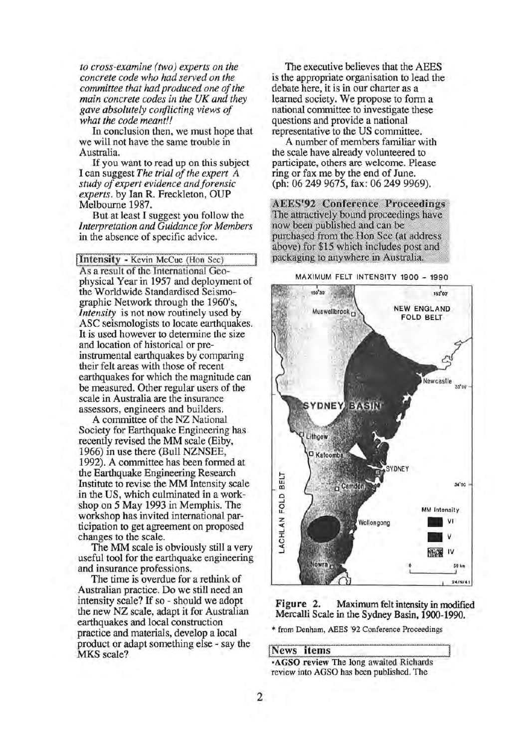*to cross-examine (two) experts on the concrete code who had served on the committee that had produced one of the main concrete codes in the UK and they gave absolutely conflicting views of what the code meant!!* 

In conclusion then, we must hope that we will not have the same trouble in Australia.

If you want to read up on this subject I can suggest *The trial of the expert A study of expert evidence and forensic experts.* by Ian R. Freckleton, OUP Melbourne 1987.

But at least I suggest you follow the *Interpretation and Guidance for Members*  in the absence of specific advice.

Intensity - Kevin McCue (Hon Sec) As a result of the International Geophysical Year in 1957 and deployment of the Worldwide Standardised Seismographic Network through the 1960's, *Intensity* is not now routinely used by ASC seismologists to locate earthquakes. It is used however to determine the size and location of historical or preinstrumental earthquakes by comparing their felt areas with those of recent earthquakes for which the magnitude can be measured. Other regular users of the scale in Australia are the insurance assessors, engineers and builders.

A committee of the NZ National Society for Earthquake Engineering has recently revised the MM scale (Eiby, 1966) in use there (Bull NZNSEE, 1992). A committee has been formed at the Earthquake Engineering Research Institute to revise the MM Intensity scale in the US, which culminated in a workshop on 5 May 1993 in Memphis. The workshop has invited international participation to get agreement on proposed changes to the scale.

The MM scale is obviously still a very useful tool for the earthquake engineering and insurance professions.

The time is overdue for a rethink of Australian practice. Do we still need an intensity scale? If so- should we adopt the new NZ scale, adapt it for Australian earthquakes and local construction practice and materials, develop a local product or adapt something else - say the MKS scale?

The executive believes that the AEES is the appropriate organisation to lead the debate here, it is in our charter as a learned society. We propose to form a national committee to investigate these questions and provide a national representative to the US committee.

A number of members familiar with the scale have already volunteered to participate, others are welcome. Please ring or fax me by the end of June. (ph: 06 249 9675, fax: 06 249 9969).

**AEES'92 Conference Proceedings** The attractively bound proceedings have now been published and can be purchased from the Hon Sec (at address above) for \$15 which includes post and packaging to anywhere in Australia.

MAXIMUM FELT INTENSITY 1900 - 1990



Figure 2. Maximum felt intensity in modified Mercalli Scale in the Sydney Basin, 1900-1990.

\* from Denham, AEES '92 Conference Proceedings

News items<br>:AGSO review The long awaited Richards review into AGSO has been published. The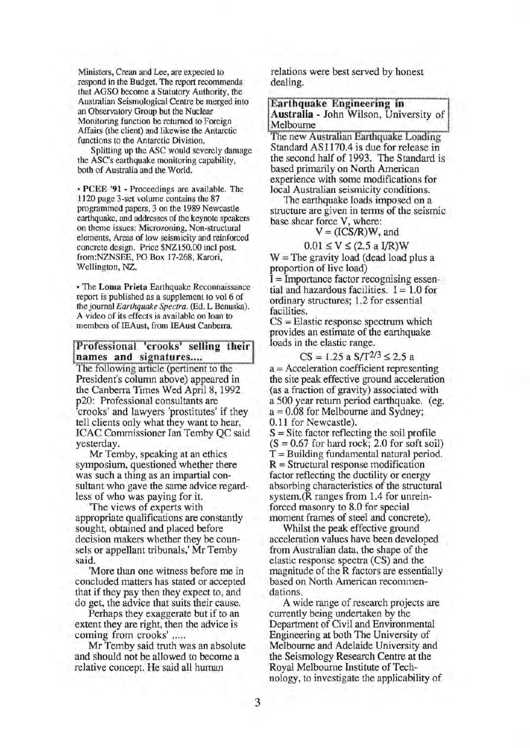Ministers, Crean and Lee, are expected to respond in the Budget. The report recommends that AGSO become a Statutory Authority, the Australian Seismological Centre be merged into an Observatory Group but the Nuclear Monitoring function be returned to Foreign Affairs (the client) and likewise the Antarctic functions to the Antarctic Division.

Splitting up the ASC would severely damage the ASC's earthquake monitoring capability, both of Australia and the World.

• PCEE '91 - Proceedings are available. The 1120 page 3-set volume contains the 87 programmed papers, 3 on the 1989 Newcastle earthquake, and addresses of the keynote speakers on theme issues: Microzoning, Non-structural elements, Areas of low seismicity and reinforced concrete design. Price \$NZ150.00 incl post. from:NZNSEE, PO Box 17-268, Karori, Wellington, NZ.

• The Loma Prieta Earthquake Reconnaissance report is published as a supplement to vol 6 of the journal *Earthquake Spectra.* (Ed. L Benuska). A video of its effects is available on loan to members of IEAust, from IEAust Canberra.

#### Professional 'crooks' selling their names and signatures....

The following article (pertinent to the President's column above) appeared in the Canberra Times Wed April 8, 1992 p20: Professional consultants are 'crooks' and lawyers 'prostitutes' if they tell clients only what they want to hear, ICAC Commissioner Ian Temby QC said yesterday.

Mr Temby, speaking at an ethics symposium, questioned whether there was such a thing as an impartial consultant who gave the same advice regardless of who was paying for it.

'The views of experts with appropriate qualifications are constantly sought, obtained and placed before decision makers whether they be counsels or appellant tribunals,' Mr Temby said.

'More than one witness before me in concluded matters has stated or accepted that if they pay then they expect to, and do get, the advice that suits their cause.

Perhaps they exaggerate but if to an extent they are right, then the advice is coming from crooks' .....

Mr Temby said truth was an absolute and should not be allowed to become a relative concept. He said all human

relations were best served by honest dealing.

Earthquake Engineering in Australia - John Wilson, University of Melbourne

The new Australian Earthquake Loading Standard AS 1170.4 is due for release in the second half of 1993. The Standard is based primarily on North American experience with some modifications for local Australian seismicity conditions.

The earthquake loads imposed on a structure are given in terms of the seismic base shear force V, where:

$$
V = (ICS/R)W
$$
, and

$$
0.01 \le V \le (2.5 \text{ a I/R})W
$$

 $W =$ The gravity load (dead load plus a proportion of live load)

I= Importance factor recognising essential and hazardous facilities.  $I = 1.0$  for ordinary structures; 1.2 for essential facilities.

CS = Elastic response spectrum which provides an estimate of the earthquake loads in the elastic range.

$$
CS = 1.25 \text{ a } S/T^{2/3} \le 2.5 \text{ a}
$$

a = Acceleration coefficient representing the site peak effective ground acceleration (as a fraction of gravity) associated with a 500 year return period earthquake. (eg.  $a = 0.08$  for Melbourne and Sydney; 0.11 for Newcastle).

 $S =$  Site factor reflecting the soil profile  $(S = 0.67$  for hard rock; 2.0 for soft soil)  $T =$ Building fundamental natural period.  $R =$ Structural response modification factor reflecting the ductility or energy absorbing characteristics of the structural system.(R ranges from 1.4 for unreinforced masonry to 8.0 for special moment frames of steel and concrete).

Whilst the peak effective ground acceleration values have been developed from Australian data, the shape of the elastic response spectra (CS) and the magnitude of the R factors are essentially based on North American recommendations.

A wide range of research projects are currently being undertaken by the Department of Civil and Environmental Engineering at both The University of Melbourne and Adelaide University and the Seismology Research Centre at the Royal Melbourne Institute of Technology, to investigate the applicability of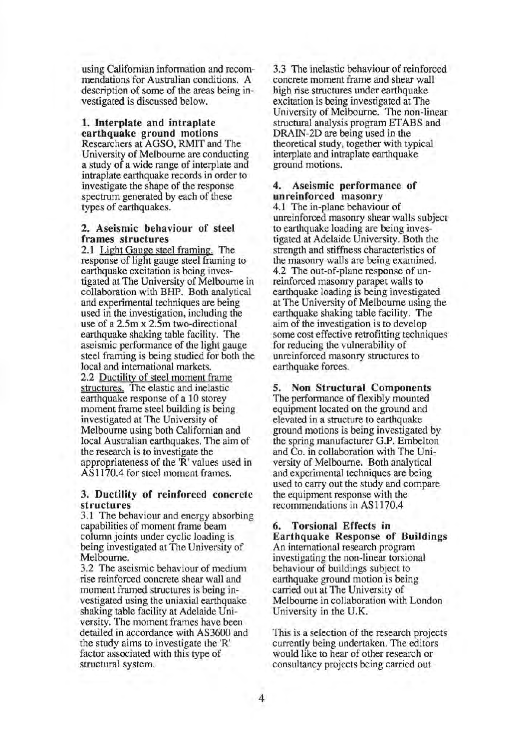using Californian information and recommendations for Australian conditions. A description of some of the areas being investigated is discussed below.

#### 1. Interplate and intraplate earthquake ground motions

Researchers at AGSO, RMIT and The University of Melbourne are conducting a study of a wide range of interplate and intraplate earthquake records in order to investigate the shape of the response spectrum generated by each of these types of earthquakes.

#### 2. Aseismic behaviour of steel frames structures

2.1 Light Gauge steel framing. The response of light gauge steel framing to earthquake excitation is being investigated at The University of Melbourne in collaboration with BHP. Both analytical and experimental techniques are being used in the investigation, including the use of a 2.5m x 2.5m two-directional earthquake shaking table facility. The aseismic performance of the light gauge steel framing is being studied for both the local and international markets. 2.2 Ductility of steel moment frame structures. The elastic and inelastic earthquake response of a 10 storey moment frame steel building is being investigated at The University of Melbourne using both Californian and local Australian earthquakes. The aim of the research is to investigate the appropriateness of the 'R' values used in AS 1170.4 for steel moment frames.

#### 3. Ductility of reinforced concrete structures

3.1 The behaviour and energy absorbing capabilities of moment frame beam column joints under cyclic loading is being investigated at The University of Melbourne.

3.2 The aseismic behaviour of medium rise reinforced concrete shear wall and moment framed structures is being investigated using the uniaxial earthquake shaking table facility at Adelaide University. The moment frames have been detailed in accordance with AS3600 and the study aims to investigate the 'R' factor associated with this type of structural system.

3.3 The inelastic behaviour of reinforced concrete moment frame and shear wall high rise structures under earthquake excitation is being investigated at The University of Melbourne. The non-linear structural analysis program ET ABS and DRAIN-2D are being used in the theoretical study, together with typical interplate and intraplate earthquake ground motions.

#### 4. Aseismic performance of unreinforced masonry

4.1 The in-plane behaviour of unreinforced masonry shear walls subject to earthquake loading are being investigated at Adelaide University. Both the strength and stiffness characteristics of the masonry walls are being examined. 4.2 The out-of-plane response of unreinforced masonry parapet walls to earthquake loading is being investigated at The University of Melbourne using the earthquake shaking table facility. The aim of the investigation is to develop some cost effective retrofitting techniques for reducing the vulnerability of unreinforced masonry structures to earthquake forces.

5. Non Structural Components The performance of flexibly mounted equipment located on the ground and elevated in a structure to earthquake ground motions is being investigated by the spring manufacturer G.P. Embelton and Co. in collaboration with The University of Melbourne. Both analytical and experimental techniques are being used to carry out the study and compare the equipment response with the recommendations in AS 1170.4

#### 6. Torsional Effects in Earthquake Response of Buildings An international research program investigating the non-linear torsional behaviour of buildings subject to earthquake ground motion is being carried out at The University of Melbourne in collaboration with London University in the U.K.

This is a selection of the research projects currently being undertaken. The editors would like to hear of other research or consultancy projects being carried out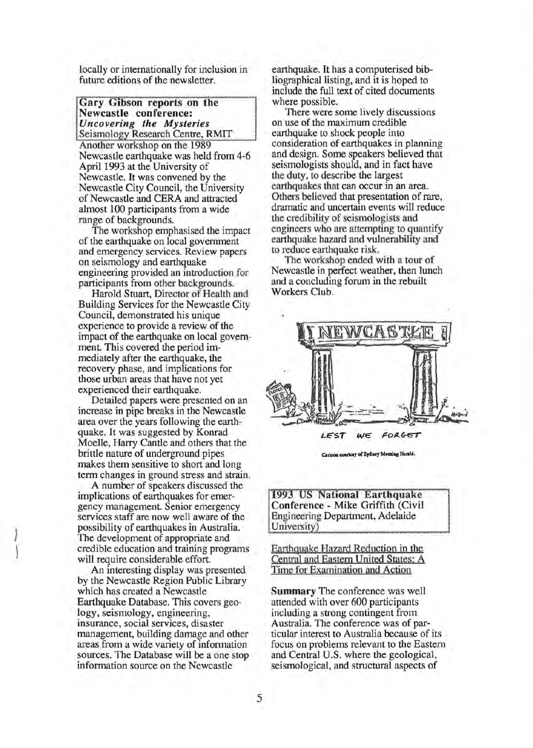locally or internationally for inclusion in future editions of the newsletter.

Gary Gibson reports on the Newcastle conference: *Uncovering the Mysteries*  Seismology Research Centre, RMIT

Another workshop on the 1989 Newcastle earthquake was held from 4-6 April 1993 at the University of Newcastle. It was convened by the Newcastle City Council, the University of Newcastle and CERA and attracted almost 100 participants from a wide range of backgrounds.

The workshop emphasised the impact of the earthquake on local government and emergency services. Review papers on seismology and earthquake engineering provided an introduction for participants from other backgrounds.

Harold Stuart, Director of Health and Building Services for the Newcastle City Council, demonstrated his unique experience to provide a review of the impact of the earthquake on local government. This covered the period immediately after the earthquake, the recovery phase, and implications for those urban areas that have not yet experienced their earthquake.

Detailed papers were presented on an increase in pipe breaks in the Newcastle area over the years following the earthquake. It was suggested by Konrad Moelle, Harry Cantle and others that the brittle nature of underground pipes makes them sensitive to short and long term changes in ground stress and strain.

A number of speakers discussed the implications of earthquakes for emergency management. Senior emergency services staff are now well aware of the possibility of earthquakes in Australia. The development of appropriate and credible education and training programs will require considerable effort.

 $\mathcal{L}_{\mathcal{A}}$ )

> An interesting display was presented by the Newcastle Region Public Library which has created a Newcastle Earthquake Database. This covers geology, seismology, engineering, insurance, social services, disaster management, building damage and other areas from a wide variety of infonnation sources. The Database will be a one stop information source on the Newcastle

earthquake. It has a computerised bibliographical listing, and it is hoped to include the full text of cited documents where possible.

There were some lively discussions on use of the maximum credible earthquake to shock people into consideration of earthquakes in planning and design. Some speakers believed that seismologists should, and in fact have the duty, to describe the largest earthquakes that can occur in an area. Others believed that presentation of rare, dramatic and uncertain events will reduce the credibility of seismologists and engineers who are attempting to quantify earthquake hazard and vulnerability and to reduce earthquake risk.

The workshop ended with a tour of Newcastle in perfect weather, then lunch and a concluding forum in the rebuilt Workers Club.



Cartoon couriesy of Sydney Morning Herald.

1993 US National Earthquake Conference - Mike Griffith (Civil) Engineering Department, Adelaide University)

Earthquake Hazard Reduction in the Central and Eastern United States: A Time for Examination and Action

Summary The conference was well attended with over 600 participants including a strong contingent from Australia. The conference was of particular interest to Australia because of its focus on problems relevant to the Eastern and Central U.S. where the geological, seismological, and structural aspects of